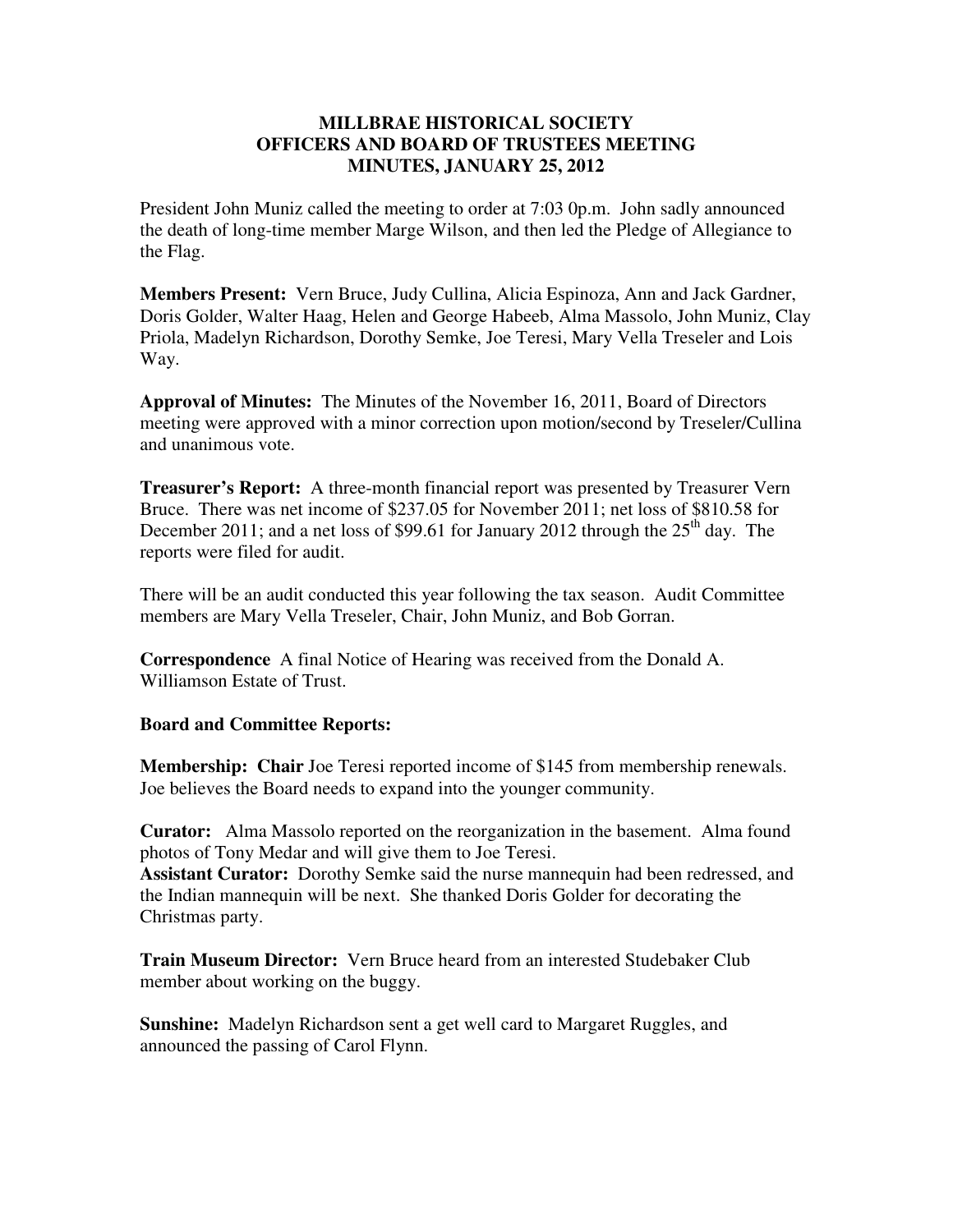## **MILLBRAE HISTORICAL SOCIETY OFFICERS AND BOARD OF TRUSTEES MEETING MINUTES, JANUARY 25, 2012**

President John Muniz called the meeting to order at 7:03 0p.m. John sadly announced the death of long-time member Marge Wilson, and then led the Pledge of Allegiance to the Flag.

**Members Present:** Vern Bruce, Judy Cullina, Alicia Espinoza, Ann and Jack Gardner, Doris Golder, Walter Haag, Helen and George Habeeb, Alma Massolo, John Muniz, Clay Priola, Madelyn Richardson, Dorothy Semke, Joe Teresi, Mary Vella Treseler and Lois Way.

**Approval of Minutes:** The Minutes of the November 16, 2011, Board of Directors meeting were approved with a minor correction upon motion/second by Treseler/Cullina and unanimous vote.

**Treasurer's Report:** A three-month financial report was presented by Treasurer Vern Bruce. There was net income of \$237.05 for November 2011; net loss of \$810.58 for December 2011; and a net loss of \$99.61 for January 2012 through the  $25<sup>th</sup>$  day. The reports were filed for audit.

There will be an audit conducted this year following the tax season. Audit Committee members are Mary Vella Treseler, Chair, John Muniz, and Bob Gorran.

**Correspondence** A final Notice of Hearing was received from the Donald A. Williamson Estate of Trust.

## **Board and Committee Reports:**

**Membership: Chair** Joe Teresi reported income of \$145 from membership renewals. Joe believes the Board needs to expand into the younger community.

**Curator:** Alma Massolo reported on the reorganization in the basement. Alma found photos of Tony Medar and will give them to Joe Teresi.

**Assistant Curator:** Dorothy Semke said the nurse mannequin had been redressed, and the Indian mannequin will be next. She thanked Doris Golder for decorating the Christmas party.

**Train Museum Director:** Vern Bruce heard from an interested Studebaker Club member about working on the buggy.

**Sunshine:** Madelyn Richardson sent a get well card to Margaret Ruggles, and announced the passing of Carol Flynn.